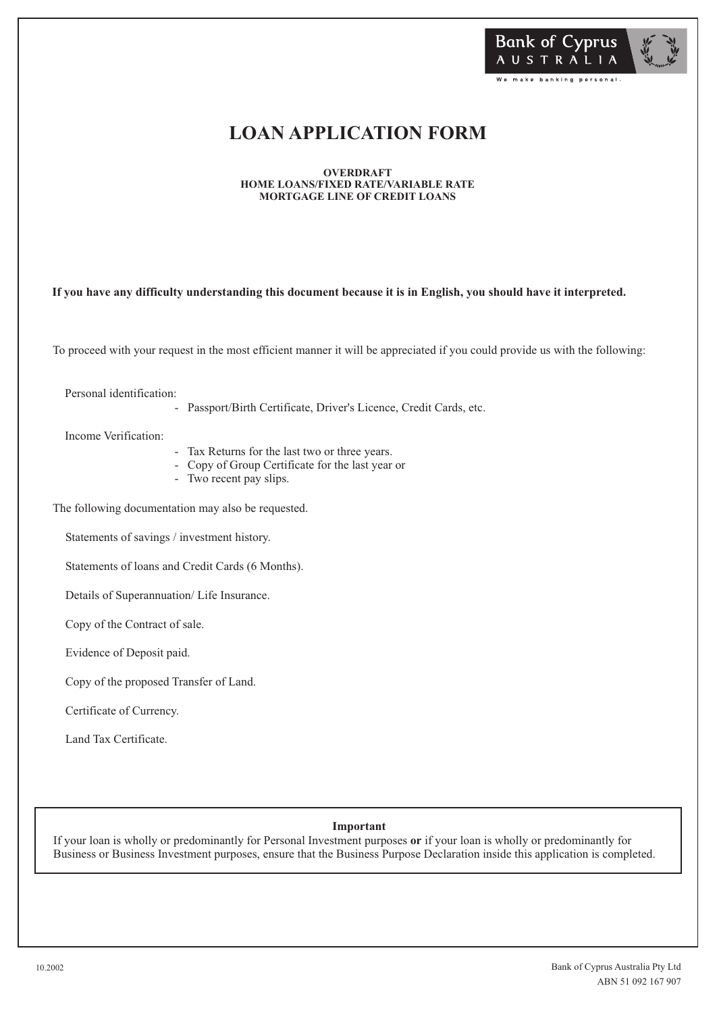

# **LOAN APPLICATION FORM**

**OVERDRAFT HOME LOANS/FIXED RATE/VARIABLE RATE MORTGAGE LINE OF CREDIT LOANS**

**If you have any difficulty understanding this document because it is in English, you should have it interpreted.**

To proceed with your request in the most efficient manner it will be appreciated if you could provide us with the following:

Personal identification:

- Passport/Birth Certificate, Driver's Licence, Credit Cards, etc.

Income Verification:

- Tax Returns for the last two or three years.
- Copy of Group Certificate for the last year or
- Two recent pay slips.

The following documentation may also be requested.

Statements of savings / investment history.

Statements of loans and Credit Cards (6 Months).

Details of Superannuation/ Life Insurance.

Copy of the Contract of sale.

Evidence of Deposit paid.

Copy of the proposed Transfer of Land.

Certificate of Currency.

Land Tax Certificate.

### **Important**

If your loan is wholly or predominantly for Personal Investment purposes **or** if your loan is wholly or predominantly for Business or Business Investment purposes, ensure that the Business Purpose Declaration inside this application is completed.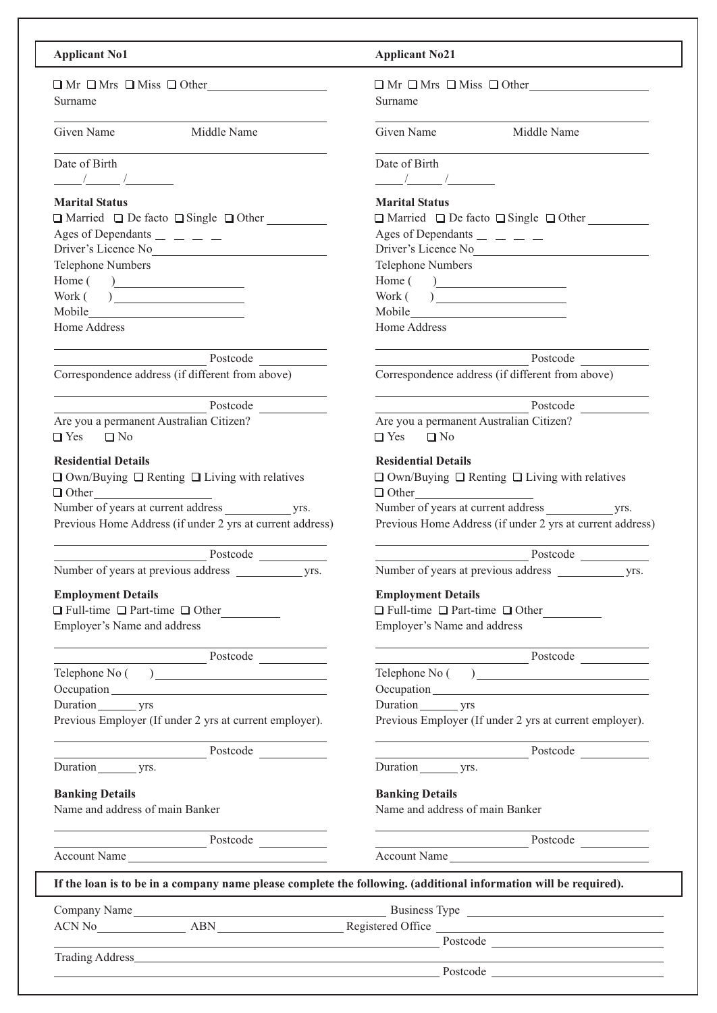### **Applicant No1**

| $\Box$ Mr $\Box$ Mrs $\Box$ Miss $\Box$ Other |  |  |
|-----------------------------------------------|--|--|
| Surname                                       |  |  |

Given Name Middle Name

| Date of Birth |  |  |
|---------------|--|--|
|               |  |  |

### **Marital Status**

| $\Box$ Married $\Box$ De facto $\Box$ Single $\Box$ Other |
|-----------------------------------------------------------|
| Ages of Dependants $\_\_$ $\_\_$                          |
| Driver's Licence No                                       |
| <b>Telephone Numbers</b>                                  |
| $Home($ $)$                                               |
| Work( )                                                   |
| Mobile                                                    |
| Home Address                                              |

Postcode Correspondence address (if different from above)

Postcode Are you a permanent Australian Citizen?

 $\Box$  Yes  $\Box$  No

### **Residential Details**

 $\Box$  Own/Buying  $\Box$  Renting  $\Box$  Living with relatives □ Other Number of years at current address yrs.

Previous Home Address (if under 2 yrs at current address)

Postcode

Number of years at previous address yrs.

### **Employment Details**

 $\Box$  Full-time  $\Box$  Part-time  $\Box$  Other Employer's Name and address

Postcode

Telephone No ()

Occupation\_

Duration yrs Previous Employer (If under 2 yrs at current employer).

Postcode

Postcode

Duration yrs.

### **Banking Details**

Name and address of main Banker

| <b>Applicant No21</b>                                                                                                                                                                                                          |                                                                       |
|--------------------------------------------------------------------------------------------------------------------------------------------------------------------------------------------------------------------------------|-----------------------------------------------------------------------|
|                                                                                                                                                                                                                                | $\Box$ Mr $\Box$ Mrs $\Box$ Miss $\Box$ Other                         |
| Surname                                                                                                                                                                                                                        |                                                                       |
|                                                                                                                                                                                                                                |                                                                       |
| Given Name                                                                                                                                                                                                                     | Middle Name                                                           |
|                                                                                                                                                                                                                                |                                                                       |
| Date of Birth                                                                                                                                                                                                                  |                                                                       |
|                                                                                                                                                                                                                                |                                                                       |
|                                                                                                                                                                                                                                |                                                                       |
| <b>Marital Status</b>                                                                                                                                                                                                          |                                                                       |
|                                                                                                                                                                                                                                | $\Box$ Married $\Box$ De facto $\Box$ Single $\Box$ Other             |
| Ages of Dependants $\frac{\ }{2}$ = $\frac{\ }{2}$ = $\frac{\ }{2}$                                                                                                                                                            |                                                                       |
|                                                                                                                                                                                                                                | Driver's Licence No<br><u>Licence</u> No                              |
| <b>Telephone Numbers</b>                                                                                                                                                                                                       |                                                                       |
| Home( )                                                                                                                                                                                                                        |                                                                       |
|                                                                                                                                                                                                                                |                                                                       |
| Mobile Manual Communication of the Communication of the Communication of the Communication of the Communication of the Communication of the Communication of the Communication of the Communication of the Communication of th |                                                                       |
| Home Address                                                                                                                                                                                                                   |                                                                       |
|                                                                                                                                                                                                                                |                                                                       |
|                                                                                                                                                                                                                                | Postcode                                                              |
|                                                                                                                                                                                                                                | Correspondence address (if different from above)                      |
|                                                                                                                                                                                                                                |                                                                       |
|                                                                                                                                                                                                                                | Postcode                                                              |
| Are you a permanent Australian Citizen?<br>$\Box$ Yes $\Box$ No                                                                                                                                                                |                                                                       |
| <b>Residential Details</b>                                                                                                                                                                                                     |                                                                       |
| $\Box$ Other                                                                                                                                                                                                                   | $\Box$ Own/Buying $\Box$ Renting $\Box$ Living with relatives         |
|                                                                                                                                                                                                                                |                                                                       |
|                                                                                                                                                                                                                                |                                                                       |
|                                                                                                                                                                                                                                | Previous Home Address (if under 2 yrs at current address)<br>Postcode |
|                                                                                                                                                                                                                                |                                                                       |
| Number of years at previous address                                                                                                                                                                                            | yrs.                                                                  |
| <b>Employment Details</b>                                                                                                                                                                                                      |                                                                       |
|                                                                                                                                                                                                                                | $\Box$ Full-time $\Box$ Part-time $\Box$ Other                        |
|                                                                                                                                                                                                                                |                                                                       |
| Employer's Name and address                                                                                                                                                                                                    |                                                                       |
|                                                                                                                                                                                                                                | Postcode                                                              |
|                                                                                                                                                                                                                                |                                                                       |
|                                                                                                                                                                                                                                | Telephone No ()                                                       |
| Duration _________ yrs                                                                                                                                                                                                         |                                                                       |
|                                                                                                                                                                                                                                | Previous Employer (If under 2 yrs at current employer).               |
|                                                                                                                                                                                                                                |                                                                       |
| <u> 1989 - Johann Barnett, fransk politik (</u>                                                                                                                                                                                | Postcode                                                              |
|                                                                                                                                                                                                                                |                                                                       |
| <b>Banking Details</b>                                                                                                                                                                                                         |                                                                       |
| Name and address of main Banker                                                                                                                                                                                                |                                                                       |
|                                                                                                                                                                                                                                |                                                                       |
|                                                                                                                                                                                                                                | Postcode                                                              |

Account Name

| Name |  |  |  |
|------|--|--|--|
|      |  |  |  |

|              |      | If the loan is to be in a company name please complete the following. (additional information will be required). |
|--------------|------|------------------------------------------------------------------------------------------------------------------|
| Company Name |      | Business Type                                                                                                    |
| ACN No       | ABN. | Registered Office                                                                                                |
|              |      | Postcode                                                                                                         |

|  | <b>Trading Address</b> |
|--|------------------------|
|--|------------------------|

Postcode and the set of the set of the set of the set of the set of the set of the set of the set of the set of the set of the set of the set of the set of the set of the set of the set of the set of the set of the set of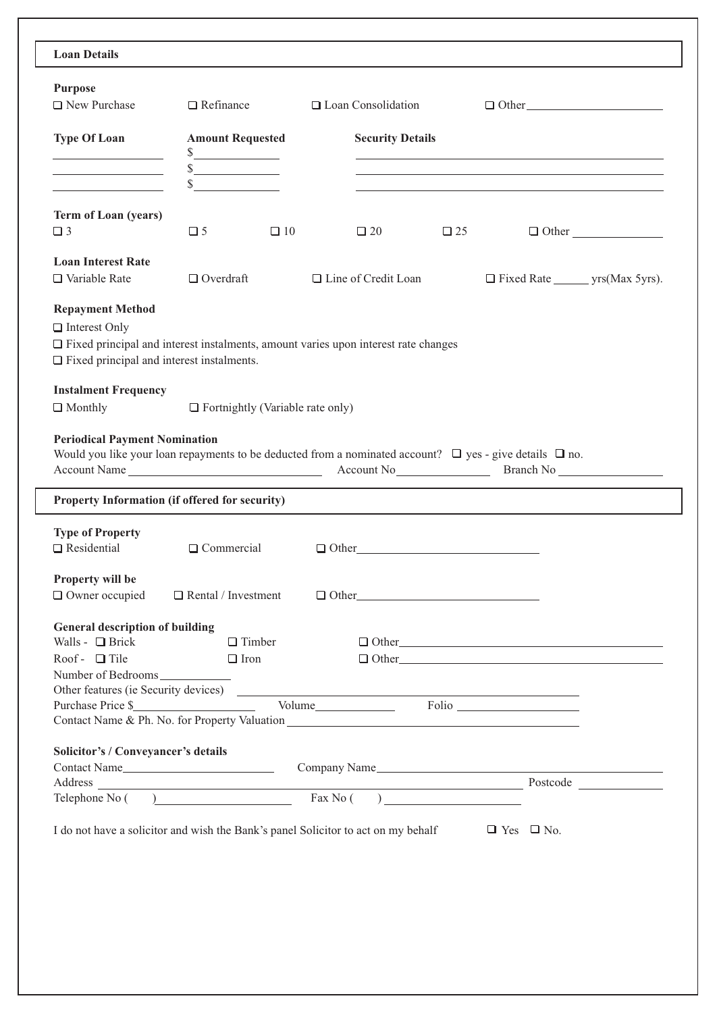| <b>Purpose</b><br>$\Box$ New Purchase                                                                                                                                                            | $\Box$ Refinance                        | $\Box$ Loan Consolidation  | $\Box$ Other                                                                                                                                                                                                                  |              |
|--------------------------------------------------------------------------------------------------------------------------------------------------------------------------------------------------|-----------------------------------------|----------------------------|-------------------------------------------------------------------------------------------------------------------------------------------------------------------------------------------------------------------------------|--------------|
| <b>Type Of Loan</b>                                                                                                                                                                              | <b>Amount Requested</b>                 | <b>Security Details</b>    |                                                                                                                                                                                                                               |              |
| <u> 1989 - Johann Barn, mars ann an t-Saint-</u><br>the control of the control of the control of                                                                                                 | s                                       |                            |                                                                                                                                                                                                                               |              |
| <u> Alban Maria (</u>                                                                                                                                                                            | $\mathbb{S}$                            |                            | the control of the control of the control of the control of the control of the control of the control of the control of the control of the control of the control of the control of the control of the control of the control |              |
| Term of Loan (years)                                                                                                                                                                             |                                         |                            |                                                                                                                                                                                                                               |              |
| $\Box$ 3                                                                                                                                                                                         | $\Box$ 5<br>$\Box$ 10                   | $\Box$ 20                  | $\Box$ 25                                                                                                                                                                                                                     | $\Box$ Other |
| <b>Loan Interest Rate</b><br>$\Box$ Variable Rate                                                                                                                                                | $\Box$ Overdraft                        | $\Box$ Line of Credit Loan |                                                                                                                                                                                                                               |              |
| <b>Repayment Method</b><br>$\Box$ Interest Only<br>$\Box$ Fixed principal and interest instalments, amount varies upon interest rate changes<br>$\Box$ Fixed principal and interest instalments. |                                         |                            |                                                                                                                                                                                                                               |              |
| <b>Instalment Frequency</b><br>$\Box$ Monthly                                                                                                                                                    | $\Box$ Fortnightly (Variable rate only) |                            |                                                                                                                                                                                                                               |              |
| Property Information (if offered for security)<br><b>Type of Property</b>                                                                                                                        |                                         |                            |                                                                                                                                                                                                                               |              |
| $\Box$ Residential                                                                                                                                                                               | $\Box$ Commercial                       | $\Box$ Other               |                                                                                                                                                                                                                               |              |
| Property will be<br>□ Owner occupied                                                                                                                                                             | $\Box$ Rental / Investment              | $\Box$ Other               |                                                                                                                                                                                                                               |              |
| <b>General description of building</b>                                                                                                                                                           |                                         |                            |                                                                                                                                                                                                                               |              |
| Walls - $\Box$ Brick<br>Roof - $\Box$ Tile                                                                                                                                                       | $\Box$ Timber<br>$\Box$ Iron            |                            | $\Box$ Other<br>$\Box$ Other                                                                                                                                                                                                  |              |
| Number of Bedrooms                                                                                                                                                                               |                                         |                            |                                                                                                                                                                                                                               |              |
|                                                                                                                                                                                                  |                                         |                            |                                                                                                                                                                                                                               |              |
| Contact Name & Ph. No. for Property Valuation ___________________________________                                                                                                                |                                         |                            |                                                                                                                                                                                                                               |              |
| Solicitor's / Conveyancer's details                                                                                                                                                              |                                         |                            |                                                                                                                                                                                                                               |              |
|                                                                                                                                                                                                  |                                         |                            |                                                                                                                                                                                                                               |              |
| I do not have a solicitor and wish the Bank's panel Solicitor to act on my behalf                                                                                                                |                                         |                            | $\Box$ Yes $\Box$ No.                                                                                                                                                                                                         |              |
|                                                                                                                                                                                                  |                                         |                            |                                                                                                                                                                                                                               |              |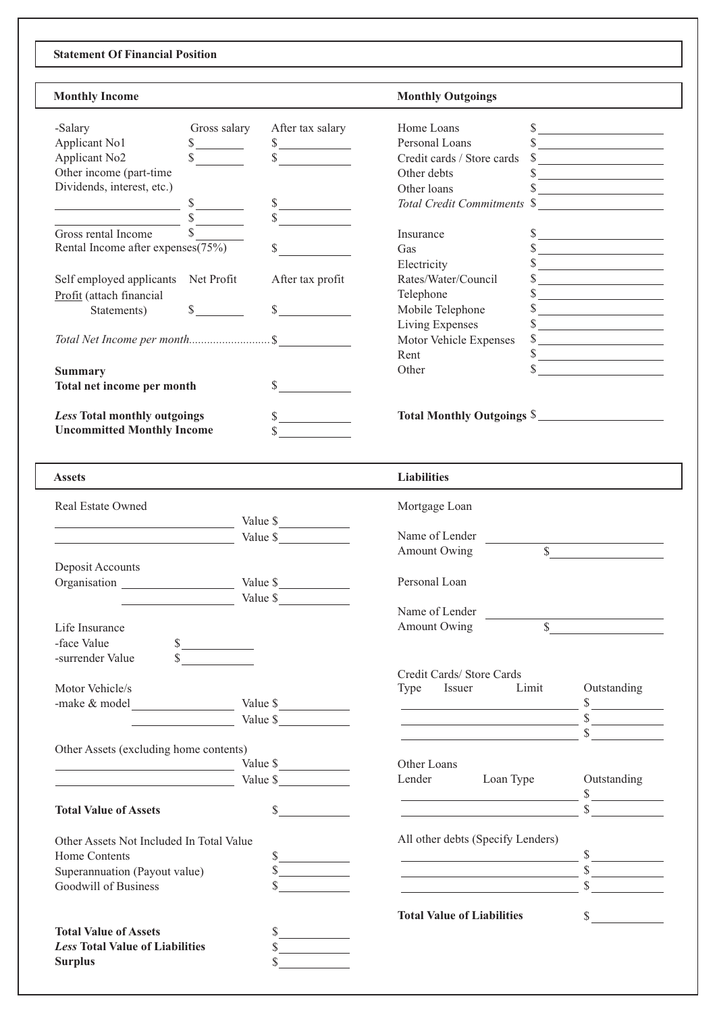# **Statement Of Financial Position**

I.

| <b>Monthly Income</b>                                                                                                                                                                                                                |                                                                 | <b>Monthly Outgoings</b>                                    |                                                 |
|--------------------------------------------------------------------------------------------------------------------------------------------------------------------------------------------------------------------------------------|-----------------------------------------------------------------|-------------------------------------------------------------|-------------------------------------------------|
| Gross salary<br>-Salary                                                                                                                                                                                                              | After tax salary                                                | Home Loans                                                  | $\frac{\text{S}}{\text{S}}$                     |
| Applicant No1                                                                                                                                                                                                                        |                                                                 | Personal Loans                                              | $\frac{\sqrt{2}}{2}$                            |
| $\frac{\text{S}}{\text{S}}$<br>Applicant No <sub>2</sub>                                                                                                                                                                             | $\begin{array}{c c}\nS \quad \text{---} \\ \hline\n\end{array}$ | Credit cards / Store cards                                  |                                                 |
| Other income (part-time                                                                                                                                                                                                              |                                                                 | Other debts                                                 | $\frac{\text{S}}{\text{S}}$                     |
|                                                                                                                                                                                                                                      |                                                                 |                                                             | $\sim$                                          |
| Dividends, interest, etc.)                                                                                                                                                                                                           |                                                                 | Other loans                                                 | $\frac{\text{S}}{\text{S}}$                     |
|                                                                                                                                                                                                                                      | $\frac{\sqrt{2}}{2}$                                            | Total Credit Commitments \$                                 |                                                 |
| $\overline{\qquad \qquad }$ $\overline{\qquad \qquad }$ $\overline{\qquad \qquad }$                                                                                                                                                  | s                                                               |                                                             |                                                 |
| Gross rental Income                                                                                                                                                                                                                  |                                                                 | Insurance                                                   | $\frac{1}{2}$                                   |
| Rental Income after expenses(75%)                                                                                                                                                                                                    | $\sim$                                                          | Gas                                                         | $\frac{\sqrt{2}}{2}$                            |
|                                                                                                                                                                                                                                      |                                                                 | Electricity                                                 | $\sim$                                          |
| Self employed applicants Net Profit                                                                                                                                                                                                  | After tax profit                                                | Rates/Water/Council                                         | $\frac{\text{S}}{\text{S}}$                     |
|                                                                                                                                                                                                                                      |                                                                 |                                                             |                                                 |
| Profit (attach financial                                                                                                                                                                                                             |                                                                 | Telephone                                                   | $\frac{\sqrt{2}}{2}$                            |
| Statements)                                                                                                                                                                                                                          | s                                                               | Mobile Telephone                                            | $\frac{\text{S}}{\text{S}}$                     |
|                                                                                                                                                                                                                                      |                                                                 | Living Expenses                                             | $\frac{\text{S}}{\text{S}}$                     |
|                                                                                                                                                                                                                                      |                                                                 | Motor Vehicle Expenses                                      | $\sim$                                          |
|                                                                                                                                                                                                                                      |                                                                 | Rent                                                        | $\frac{\text{S}}{\text{S}}$                     |
| <b>Summary</b>                                                                                                                                                                                                                       |                                                                 | Other                                                       | $\sim$                                          |
| Total net income per month                                                                                                                                                                                                           | $\frac{1}{2}$                                                   |                                                             |                                                 |
|                                                                                                                                                                                                                                      |                                                                 |                                                             |                                                 |
|                                                                                                                                                                                                                                      |                                                                 |                                                             |                                                 |
| Less Total monthly outgoings                                                                                                                                                                                                         |                                                                 | Total Monthly Outgoings \$                                  |                                                 |
| <b>Uncommitted Monthly Income</b>                                                                                                                                                                                                    |                                                                 |                                                             |                                                 |
| <b>Assets</b>                                                                                                                                                                                                                        |                                                                 | <b>Liabilities</b>                                          |                                                 |
|                                                                                                                                                                                                                                      |                                                                 |                                                             |                                                 |
| <b>Real Estate Owned</b>                                                                                                                                                                                                             |                                                                 | Mortgage Loan                                               |                                                 |
| $\frac{1}{2}$ Value \$                                                                                                                                                                                                               |                                                                 |                                                             |                                                 |
| $Value \$                                                                                                                                                                                                                            |                                                                 | Name of Lender                                              |                                                 |
|                                                                                                                                                                                                                                      |                                                                 | Amount Owing                                                |                                                 |
| Deposit Accounts                                                                                                                                                                                                                     |                                                                 |                                                             |                                                 |
|                                                                                                                                                                                                                                      |                                                                 | Personal Loan                                               |                                                 |
|                                                                                                                                                                                                                                      | Value \$                                                        |                                                             |                                                 |
| <u> 1989 - Jan Stein Harry Stein Harry Stein Harry Stein Harry Stein Harry Stein Harry Stein Harry Stein Harry Stein Harry Stein Harry Stein Harry Stein Harry Stein Harry Stein Harry Stein Harry Stein Harry Stein Harry Stein</u> |                                                                 | Name of Lender                                              |                                                 |
|                                                                                                                                                                                                                                      |                                                                 | $\overline{\mathbb{S}}$                                     |                                                 |
| Life Insurance                                                                                                                                                                                                                       |                                                                 | Amount Owing                                                | <u> 1999 - Alban Santan Barat III (b. 1989)</u> |
| -face Value                                                                                                                                                                                                                          |                                                                 |                                                             |                                                 |
| -surrender Value<br>$\sim$                                                                                                                                                                                                           |                                                                 |                                                             |                                                 |
|                                                                                                                                                                                                                                      |                                                                 | Credit Cards/Store Cards                                    |                                                 |
| Motor Vehicle/s                                                                                                                                                                                                                      |                                                                 | Limit<br>Issuer<br>Type                                     | Outstanding                                     |
|                                                                                                                                                                                                                                      |                                                                 |                                                             |                                                 |
|                                                                                                                                                                                                                                      | $\frac{1}{2}$ Value \$                                          |                                                             |                                                 |
|                                                                                                                                                                                                                                      |                                                                 |                                                             |                                                 |
|                                                                                                                                                                                                                                      |                                                                 | $\overbrace{\hspace{2.5cm}}^{\text{S}}$                     |                                                 |
| Other Assets (excluding home contents)                                                                                                                                                                                               |                                                                 |                                                             |                                                 |
| $\frac{1}{2}$ Value \$                                                                                                                                                                                                               |                                                                 | Other Loans                                                 |                                                 |
|                                                                                                                                                                                                                                      | Value \$                                                        | Lender<br>Loan Type                                         | Outstanding                                     |
|                                                                                                                                                                                                                                      |                                                                 | <u> 1989 - Johann Stoff, Amerikaansk politiker († 1908)</u> | $\frac{\sqrt{2}}{2}$                            |
| <b>Total Value of Assets</b>                                                                                                                                                                                                         | $\sim$                                                          |                                                             |                                                 |
|                                                                                                                                                                                                                                      |                                                                 | All other debts (Specify Lenders)                           |                                                 |
| Other Assets Not Included In Total Value                                                                                                                                                                                             |                                                                 |                                                             |                                                 |
| <b>Home Contents</b>                                                                                                                                                                                                                 |                                                                 |                                                             |                                                 |
| Superannuation (Payout value)                                                                                                                                                                                                        |                                                                 |                                                             |                                                 |
| Goodwill of Business                                                                                                                                                                                                                 |                                                                 | <u> 1980 - Johann Barbara, martxa a</u>                     |                                                 |
|                                                                                                                                                                                                                                      |                                                                 |                                                             |                                                 |
|                                                                                                                                                                                                                                      |                                                                 | <b>Total Value of Liabilities</b>                           |                                                 |
| <b>Total Value of Assets</b>                                                                                                                                                                                                         | s                                                               |                                                             |                                                 |
| <b>Less Total Value of Liabilities</b>                                                                                                                                                                                               | $\frac{\text{S}}{\text{S}}$                                     |                                                             |                                                 |
| <b>Surplus</b>                                                                                                                                                                                                                       |                                                                 |                                                             |                                                 |
|                                                                                                                                                                                                                                      |                                                                 |                                                             |                                                 |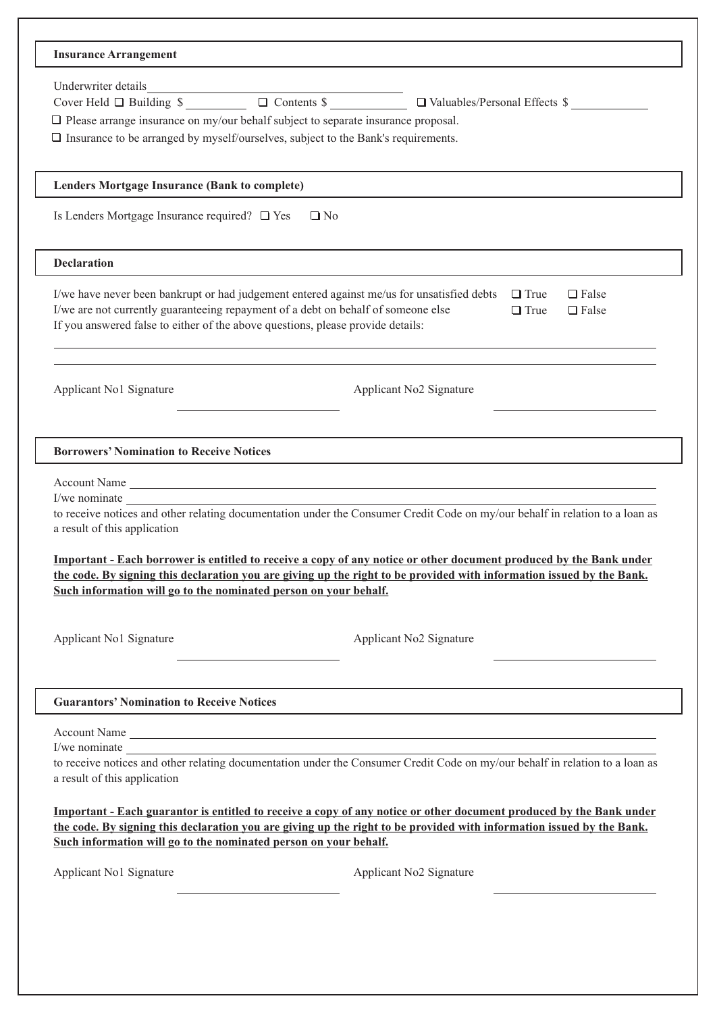| <b>Insurance Arrangement</b>                                                                                                                                                                                                                                                                                                                                                                                                                                                                                     |
|------------------------------------------------------------------------------------------------------------------------------------------------------------------------------------------------------------------------------------------------------------------------------------------------------------------------------------------------------------------------------------------------------------------------------------------------------------------------------------------------------------------|
| Underwriter details<br>Cover Held $\Box$ Building $\sqrt{s}$ $\Box$ Contents $\sqrt{s}$ $\Box$ $\Box$ Valuables/Personal Effects $\sqrt{s}$ $\Box$<br>$\Box$ Please arrange insurance on my/our behalf subject to separate insurance proposal.<br>$\square$ Insurance to be arranged by myself/ourselves, subject to the Bank's requirements.                                                                                                                                                                    |
| Lenders Mortgage Insurance (Bank to complete)                                                                                                                                                                                                                                                                                                                                                                                                                                                                    |
| Is Lenders Mortgage Insurance required? $\Box$ Yes<br>$\Box$ No                                                                                                                                                                                                                                                                                                                                                                                                                                                  |
| <b>Declaration</b>                                                                                                                                                                                                                                                                                                                                                                                                                                                                                               |
| I/we have never been bankrupt or had judgement entered against me/us for unsatisfied debts<br>$\Box$ True<br>$\Box$ False<br>I/we are not currently guaranteeing repayment of a debt on behalf of someone else<br>$\Box$ True<br>$\Box$ False<br>If you answered false to either of the above questions, please provide details:                                                                                                                                                                                 |
| Applicant No1 Signature<br>Applicant No2 Signature                                                                                                                                                                                                                                                                                                                                                                                                                                                               |
| <b>Borrowers' Nomination to Receive Notices</b>                                                                                                                                                                                                                                                                                                                                                                                                                                                                  |
| Account Name<br>I/we nominate<br>to receive notices and other relating documentation under the Consumer Credit Code on my/our behalf in relation to a loan as<br>a result of this application<br>Important - Each borrower is entitled to receive a copy of any notice or other document produced by the Bank under<br>the code. By signing this declaration you are giving up the right to be provided with information issued by the Bank.<br>Such information will go to the nominated person on your behalf. |
| Applicant No1 Signature<br>Applicant No2 Signature                                                                                                                                                                                                                                                                                                                                                                                                                                                               |
| <b>Guarantors' Nomination to Receive Notices</b>                                                                                                                                                                                                                                                                                                                                                                                                                                                                 |
| Account Name<br>I/we nominate<br>to receive notices and other relating documentation under the Consumer Credit Code on my/our behalf in relation to a loan as<br>a result of this application                                                                                                                                                                                                                                                                                                                    |
| Important - Each guarantor is entitled to receive a copy of any notice or other document produced by the Bank under<br>the code. By signing this declaration you are giving up the right to be provided with information issued by the Bank.<br>Such information will go to the nominated person on your behalf.                                                                                                                                                                                                 |
| Applicant No1 Signature<br>Applicant No2 Signature                                                                                                                                                                                                                                                                                                                                                                                                                                                               |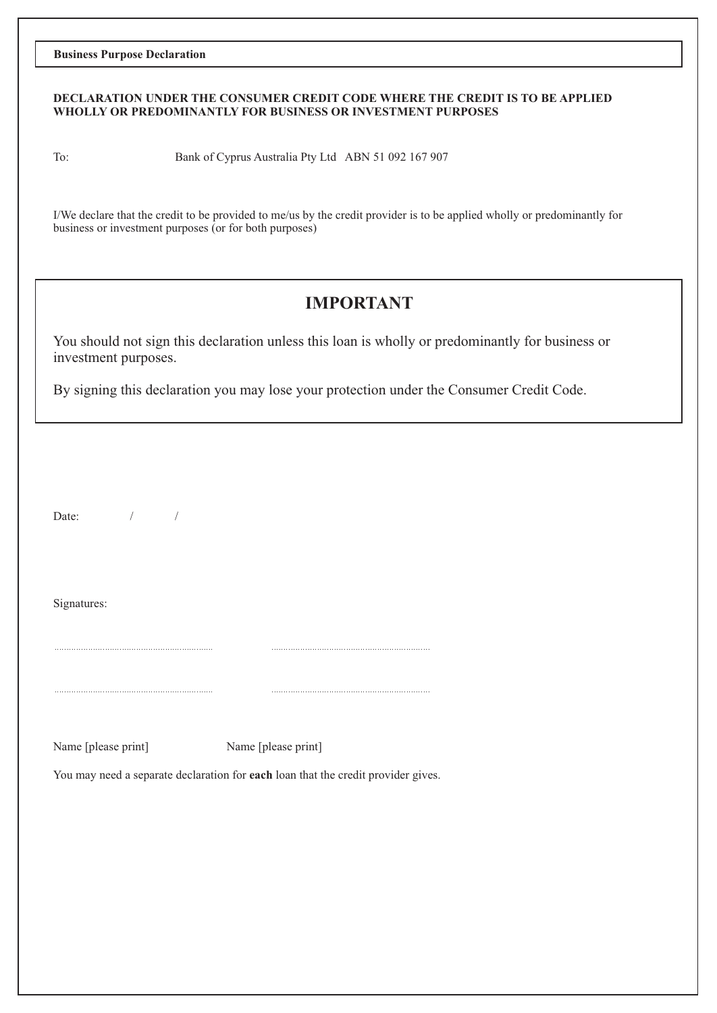**Business Purpose Declaration**

### **DECLARATION UNDER THE CONSUMER CREDIT CODE WHERE THE CREDIT IS TO BE APPLIED WHOLLY OR PREDOMINANTLY FOR BUSINESS OR INVESTMENT PURPOSES**

To: Bank of Cyprus Australia Pty Ltd ABN 51 092 167 907

I/We declare that the credit to be provided to me/us by the credit provider is to be applied wholly or predominantly for business or investment purposes (or for both purposes)

# **IMPORTANT**

You should not sign this declaration unless this loan is wholly or predominantly for business or investment purposes.

By signing this declaration you may lose your protection under the Consumer Credit Code.

Date: / /

Signatures:

Name [please print] Name [please print]

You may need a separate declaration for **each** loan that the credit provider gives.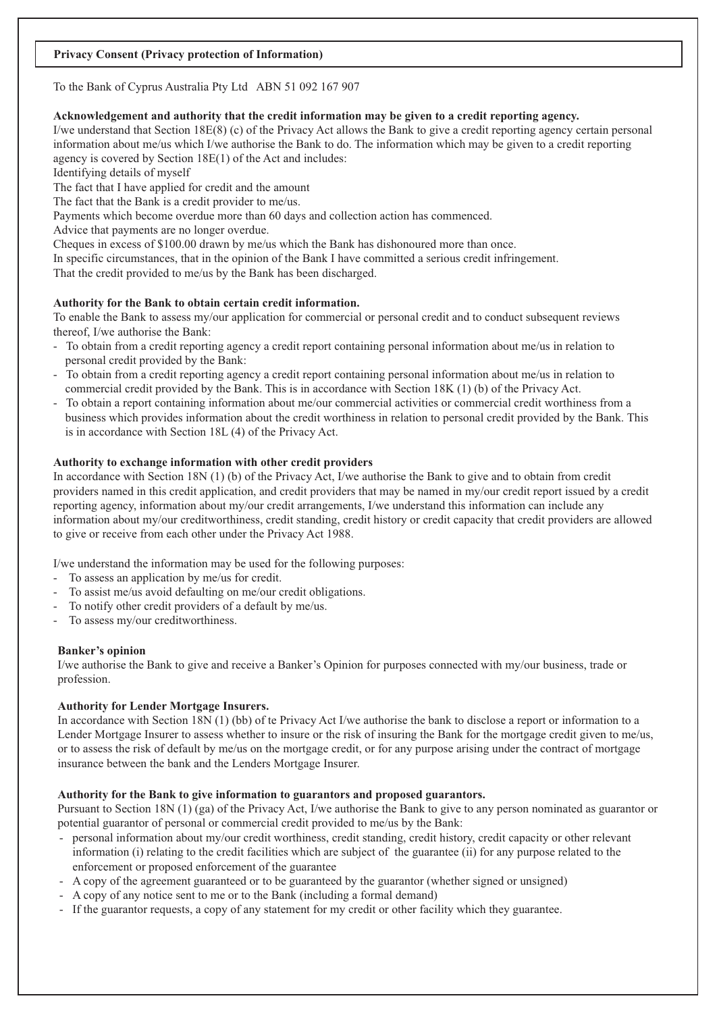### **Privacy Consent (Privacy protection of Information)**

## To the Bank of Cyprus Australia Pty Ltd ABN 51 092 167 907

## **Acknowledgement and authority that the credit information may be given to a credit reporting agency.**

I/we understand that Section 18E(8) (c) of the Privacy Act allows the Bank to give a credit reporting agency certain personal information about me/us which I/we authorise the Bank to do. The information which may be given to a credit reporting agency is covered by Section 18E(1) of the Act and includes:

Identifying details of myself

The fact that I have applied for credit and the amount

The fact that the Bank is a credit provider to me/us.

Payments which become overdue more than 60 days and collection action has commenced.

Advice that payments are no longer overdue.

Cheques in excess of \$100.00 drawn by me/us which the Bank has dishonoured more than once.

In specific circumstances, that in the opinion of the Bank I have committed a serious credit infringement.

That the credit provided to me/us by the Bank has been discharged.

# **Authority for the Bank to obtain certain credit information.**

To enable the Bank to assess my/our application for commercial or personal credit and to conduct subsequent reviews thereof, I/we authorise the Bank:

- To obtain from a credit reporting agency a credit report containing personal information about me/us in relation to personal credit provided by the Bank:
- To obtain from a credit reporting agency a credit report containing personal information about me/us in relation to commercial credit provided by the Bank. This is in accordance with Section 18K (1) (b) of the Privacy Act.
- To obtain a report containing information about me/our commercial activities or commercial credit worthiness from a business which provides information about the credit worthiness in relation to personal credit provided by the Bank. This is in accordance with Section 18L (4) of the Privacy Act.

# **Authority to exchange information with other credit providers**

In accordance with Section 18N (1) (b) of the Privacy Act, I/we authorise the Bank to give and to obtain from credit providers named in this credit application, and credit providers that may be named in my/our credit report issued by a credit reporting agency, information about my/our credit arrangements, I/we understand this information can include any information about my/our creditworthiness, credit standing, credit history or credit capacity that credit providers are allowed to give or receive from each other under the Privacy Act 1988.

I/we understand the information may be used for the following purposes:

- To assess an application by me/us for credit.
- To assist me/us avoid defaulting on me/our credit obligations.
- To notify other credit providers of a default by me/us.
- To assess my/our creditworthiness.

# **Banker's opinion**

I/we authorise the Bank to give and receive a Banker's Opinion for purposes connected with my/our business, trade or profession.

# **Authority for Lender Mortgage Insurers.**

In accordance with Section 18N (1) (bb) of te Privacy Act I/we authorise the bank to disclose a report or information to a Lender Mortgage Insurer to assess whether to insure or the risk of insuring the Bank for the mortgage credit given to me/us, or to assess the risk of default by me/us on the mortgage credit, or for any purpose arising under the contract of mortgage insurance between the bank and the Lenders Mortgage Insurer.

# **Authority for the Bank to give information to guarantors and proposed guarantors.**

Pursuant to Section 18N (1) (ga) of the Privacy Act, I/we authorise the Bank to give to any person nominated as guarantor or potential guarantor of personal or commercial credit provided to me/us by the Bank:

- personal information about my/our credit worthiness, credit standing, credit history, credit capacity or other relevant information (i) relating to the credit facilities which are subject of the guarantee (ii) for any purpose related to the enforcement or proposed enforcement of the guarantee -
- A copy of the agreement guaranteed or to be guaranteed by the guarantor (whether signed or unsigned) -
- A copy of any notice sent to me or to the Bank (including a formal demand) -
- If the guarantor requests, a copy of any statement for my credit or other facility which they guarantee.